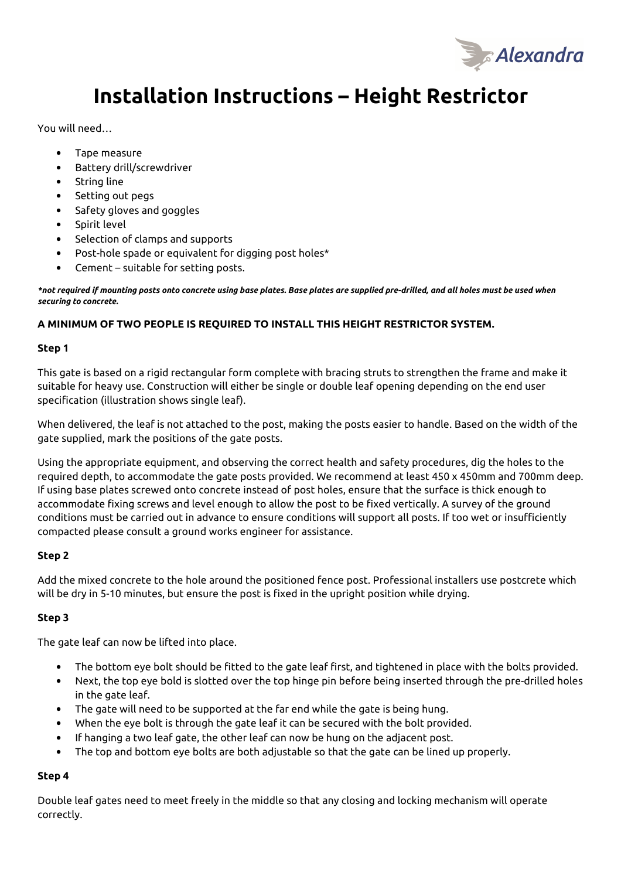

# **Installation Instructions – Height Restrictor**

You will need…

- Tape measure
- Battery drill/screwdriver
- String line
- Setting out pegs
- Safety gloves and goggles
- Spirit level
- Selection of clamps and supports
- Post-hole spade or equivalent for digging post holes\*
- Cement suitable for setting posts.

*\*not required if mounting posts onto concrete using base plates. Base plates are supplied pre-drilled, and all holes must be used when securing to concrete.* 

# **A MINIMUM OF TWO PEOPLE IS REQUIRED TO INSTALL THIS HEIGHT RESTRICTOR SYSTEM.**

### **Step 1**

This gate is based on a rigid rectangular form complete with bracing struts to strengthen the frame and make it suitable for heavy use. Construction will either be single or double leaf opening depending on the end user specification (illustration shows single leaf).

When delivered, the leaf is not attached to the post, making the posts easier to handle. Based on the width of the gate supplied, mark the positions of the gate posts.

Using the appropriate equipment, and observing the correct health and safety procedures, dig the holes to the required depth, to accommodate the gate posts provided. We recommend at least 450 x 450mm and 700mm deep. If using base plates screwed onto concrete instead of post holes, ensure that the surface is thick enough to accommodate fixing screws and level enough to allow the post to be fixed vertically. A survey of the ground conditions must be carried out in advance to ensure conditions will support all posts. If too wet or insufficiently compacted please consult a ground works engineer for assistance.

### **Step 2**

Add the mixed concrete to the hole around the positioned fence post. Professional installers use postcrete which will be dry in 5-10 minutes, but ensure the post is fixed in the upright position while drying.

### **Step 3**

The gate leaf can now be lifted into place.

- The bottom eye bolt should be fitted to the gate leaf first, and tightened in place with the bolts provided.
- Next, the top eye bold is slotted over the top hinge pin before being inserted through the pre-drilled holes in the gate leaf.
- The gate will need to be supported at the far end while the gate is being hung.
- When the eye bolt is through the gate leaf it can be secured with the bolt provided.
- If hanging a two leaf gate, the other leaf can now be hung on the adjacent post.
- The top and bottom eye bolts are both adjustable so that the gate can be lined up properly.

### **Step 4**

Double leaf gates need to meet freely in the middle so that any closing and locking mechanism will operate correctly.